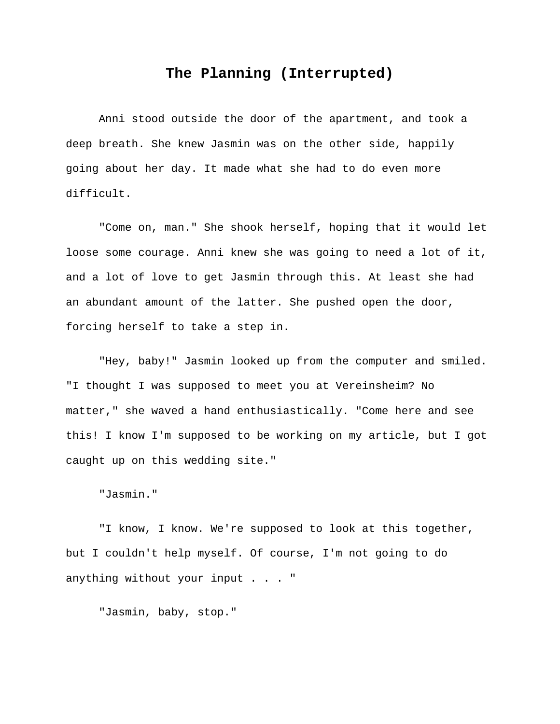## **The Planning (Interrupted)**

Anni stood outside the door of the apartment, and took a deep breath. She knew Jasmin was on the other side, happily going about her day. It made what she had to do even more difficult.

"Come on, man." She shook herself, hoping that it would let loose some courage. Anni knew she was going to need a lot of it, and a lot of love to get Jasmin through this. At least she had an abundant amount of the latter. She pushed open the door, forcing herself to take a step in.

"Hey, baby!" Jasmin looked up from the computer and smiled. "I thought I was supposed to meet you at Vereinsheim? No matter," she waved a hand enthusiastically. "Come here and see this! I know I'm supposed to be working on my article, but I got caught up on this wedding site."

"Jasmin."

"I know, I know. We're supposed to look at this together, but I couldn't help myself. Of course, I'm not going to do anything without your input . . . "

"Jasmin, baby, stop."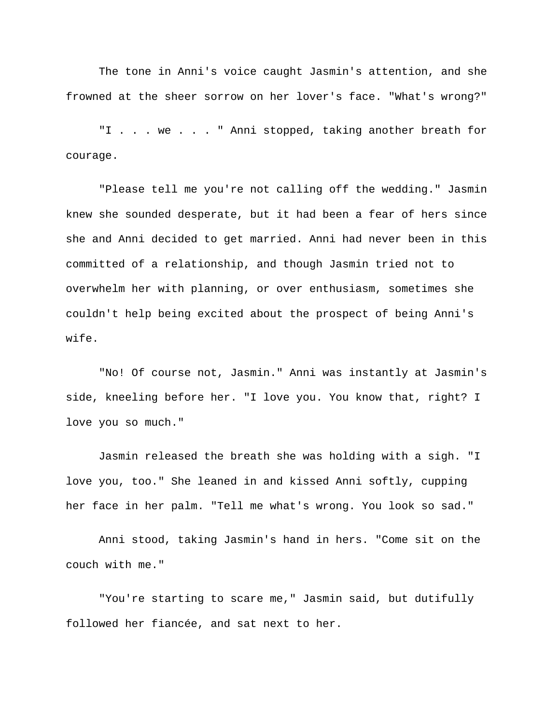The tone in Anni's voice caught Jasmin's attention, and she frowned at the sheer sorrow on her lover's face. "What's wrong?"

"I . . . we . . . " Anni stopped, taking another breath for courage.

"Please tell me you're not calling off the wedding." Jasmin knew she sounded desperate, but it had been a fear of hers since she and Anni decided to get married. Anni had never been in this committed of a relationship, and though Jasmin tried not to overwhelm her with planning, or over enthusiasm, sometimes she couldn't help being excited about the prospect of being Anni's wife.

"No! Of course not, Jasmin." Anni was instantly at Jasmin's side, kneeling before her. "I love you. You know that, right? I love you so much."

Jasmin released the breath she was holding with a sigh. "I love you, too." She leaned in and kissed Anni softly, cupping her face in her palm. "Tell me what's wrong. You look so sad."

Anni stood, taking Jasmin's hand in hers. "Come sit on the couch with me."

"You're starting to scare me," Jasmin said, but dutifully followed her fiancée, and sat next to her.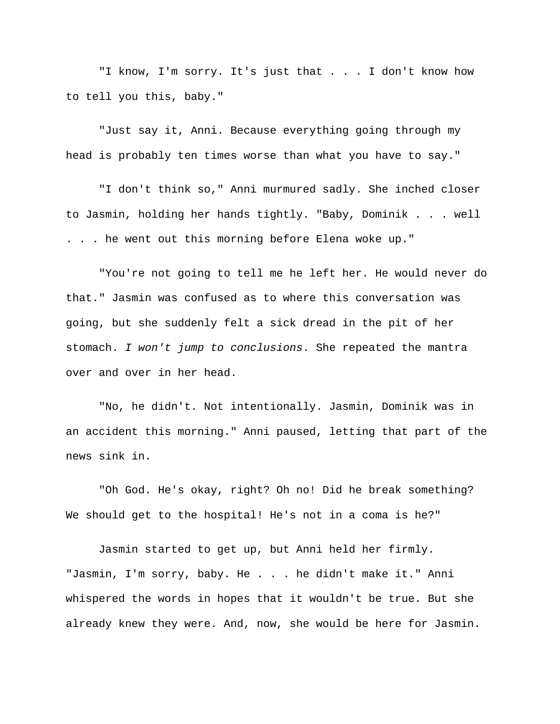"I know, I'm sorry. It's just that . . . I don't know how to tell you this, baby."

"Just say it, Anni. Because everything going through my head is probably ten times worse than what you have to say."

"I don't think so," Anni murmured sadly. She inched closer to Jasmin, holding her hands tightly. "Baby, Dominik . . . well . . . he went out this morning before Elena woke up."

"You're not going to tell me he left her. He would never do that." Jasmin was confused as to where this conversation was going, but she suddenly felt a sick dread in the pit of her stomach. *I won't jump to conclusions*. She repeated the mantra over and over in her head.

"No, he didn't. Not intentionally. Jasmin, Dominik was in an accident this morning." Anni paused, letting that part of the news sink in.

"Oh God. He's okay, right? Oh no! Did he break something? We should get to the hospital! He's not in a coma is he?"

Jasmin started to get up, but Anni held her firmly. "Jasmin, I'm sorry, baby. He . . . he didn't make it." Anni whispered the words in hopes that it wouldn't be true. But she already knew they were. And, now, she would be here for Jasmin.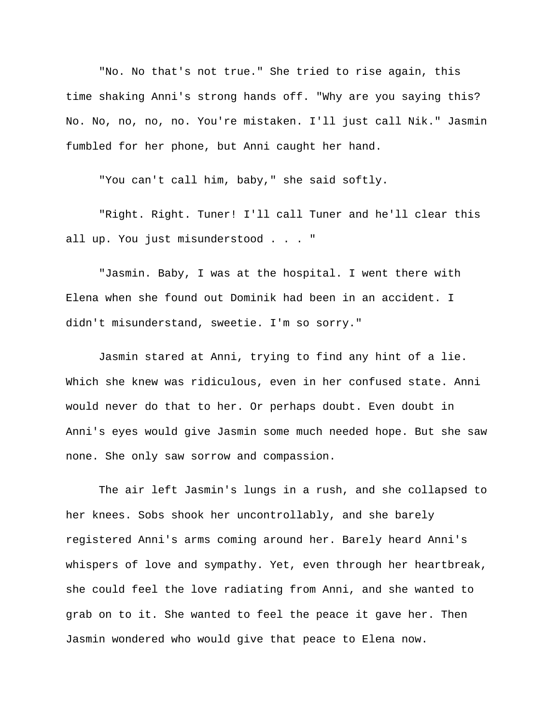"No. No that's not true." She tried to rise again, this time shaking Anni's strong hands off. "Why are you saying this? No. No, no, no, no. You're mistaken. I'll just call Nik." Jasmin fumbled for her phone, but Anni caught her hand.

"You can't call him, baby," she said softly.

"Right. Right. Tuner! I'll call Tuner and he'll clear this all up. You just misunderstood . . . "

"Jasmin. Baby, I was at the hospital. I went there with Elena when she found out Dominik had been in an accident. I didn't misunderstand, sweetie. I'm so sorry."

Jasmin stared at Anni, trying to find any hint of a lie. Which she knew was ridiculous, even in her confused state. Anni would never do that to her. Or perhaps doubt. Even doubt in Anni's eyes would give Jasmin some much needed hope. But she saw none. She only saw sorrow and compassion.

The air left Jasmin's lungs in a rush, and she collapsed to her knees. Sobs shook her uncontrollably, and she barely registered Anni's arms coming around her. Barely heard Anni's whispers of love and sympathy. Yet, even through her heartbreak, she could feel the love radiating from Anni, and she wanted to grab on to it. She wanted to feel the peace it gave her. Then Jasmin wondered who would give that peace to Elena now.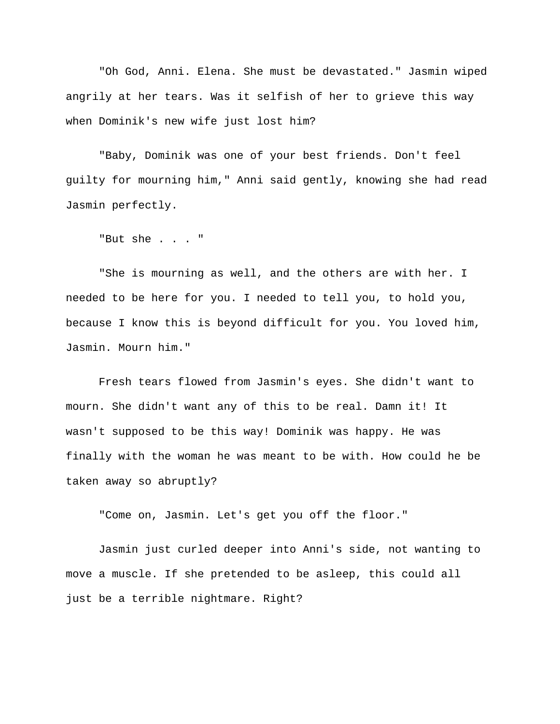"Oh God, Anni. Elena. She must be devastated." Jasmin wiped angrily at her tears. Was it selfish of her to grieve this way when Dominik's new wife just lost him?

"Baby, Dominik was one of your best friends. Don't feel guilty for mourning him," Anni said gently, knowing she had read Jasmin perfectly.

"But she . . . "

"She is mourning as well, and the others are with her. I needed to be here for you. I needed to tell you, to hold you, because I know this is beyond difficult for you. You loved him, Jasmin. Mourn him."

Fresh tears flowed from Jasmin's eyes. She didn't want to mourn. She didn't want any of this to be real. Damn it! It wasn't supposed to be this way! Dominik was happy. He was finally with the woman he was meant to be with. How could he be taken away so abruptly?

"Come on, Jasmin. Let's get you off the floor."

Jasmin just curled deeper into Anni's side, not wanting to move a muscle. If she pretended to be asleep, this could all just be a terrible nightmare. Right?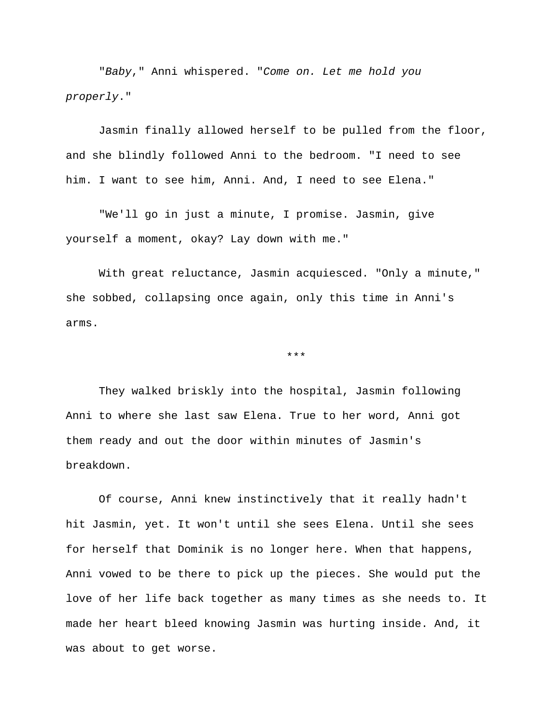"*Baby*," Anni whispered. "*Come on. Let me hold you properly*."

Jasmin finally allowed herself to be pulled from the floor, and she blindly followed Anni to the bedroom. "I need to see him. I want to see him, Anni. And, I need to see Elena."

"We'll go in just a minute, I promise. Jasmin, give yourself a moment, okay? Lay down with me."

With great reluctance, Jasmin acquiesced. "Only a minute," she sobbed, collapsing once again, only this time in Anni's arms.

\*\*\*

They walked briskly into the hospital, Jasmin following Anni to where she last saw Elena. True to her word, Anni got them ready and out the door within minutes of Jasmin's breakdown.

Of course, Anni knew instinctively that it really hadn't hit Jasmin, yet. It won't until she sees Elena. Until she sees for herself that Dominik is no longer here. When that happens, Anni vowed to be there to pick up the pieces. She would put the love of her life back together as many times as she needs to. It made her heart bleed knowing Jasmin was hurting inside. And, it was about to get worse.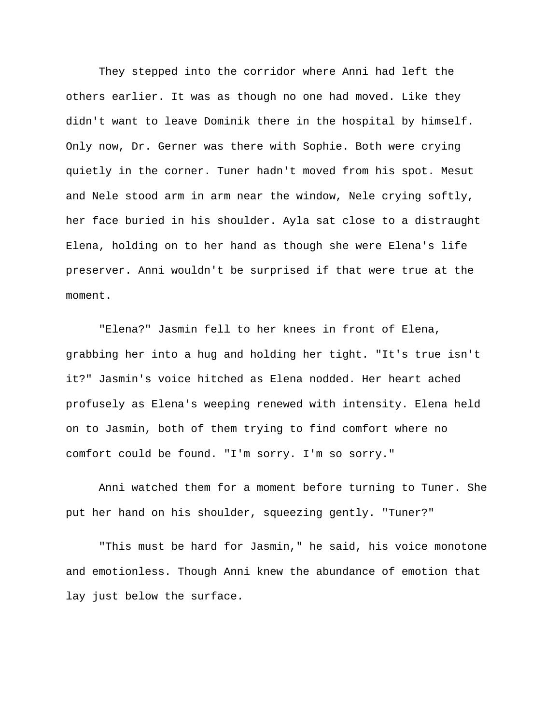They stepped into the corridor where Anni had left the others earlier. It was as though no one had moved. Like they didn't want to leave Dominik there in the hospital by himself. Only now, Dr. Gerner was there with Sophie. Both were crying quietly in the corner. Tuner hadn't moved from his spot. Mesut and Nele stood arm in arm near the window, Nele crying softly, her face buried in his shoulder. Ayla sat close to a distraught Elena, holding on to her hand as though she were Elena's life preserver. Anni wouldn't be surprised if that were true at the moment.

"Elena?" Jasmin fell to her knees in front of Elena, grabbing her into a hug and holding her tight. "It's true isn't it?" Jasmin's voice hitched as Elena nodded. Her heart ached profusely as Elena's weeping renewed with intensity. Elena held on to Jasmin, both of them trying to find comfort where no comfort could be found. "I'm sorry. I'm so sorry."

Anni watched them for a moment before turning to Tuner. She put her hand on his shoulder, squeezing gently. "Tuner?"

"This must be hard for Jasmin," he said, his voice monotone and emotionless. Though Anni knew the abundance of emotion that lay just below the surface.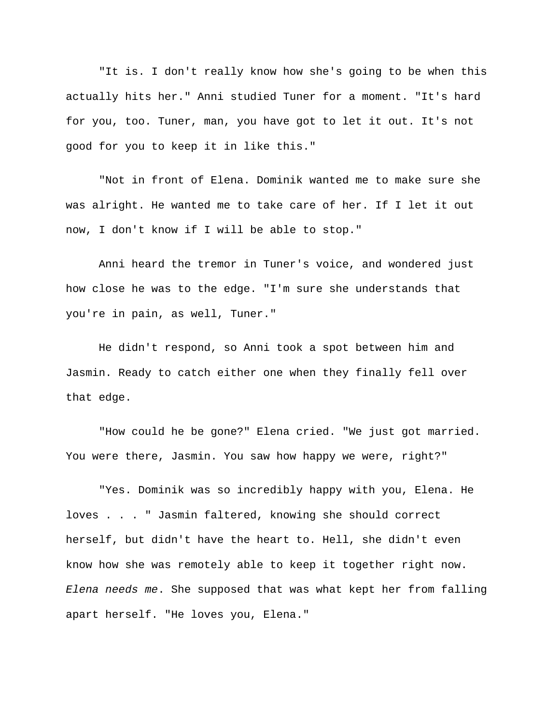"It is. I don't really know how she's going to be when this actually hits her." Anni studied Tuner for a moment. "It's hard for you, too. Tuner, man, you have got to let it out. It's not good for you to keep it in like this."

"Not in front of Elena. Dominik wanted me to make sure she was alright. He wanted me to take care of her. If I let it out now, I don't know if I will be able to stop."

Anni heard the tremor in Tuner's voice, and wondered just how close he was to the edge. "I'm sure she understands that you're in pain, as well, Tuner."

He didn't respond, so Anni took a spot between him and Jasmin. Ready to catch either one when they finally fell over that edge.

"How could he be gone?" Elena cried. "We just got married. You were there, Jasmin. You saw how happy we were, right?"

"Yes. Dominik was so incredibly happy with you, Elena. He loves . . . " Jasmin faltered, knowing she should correct herself, but didn't have the heart to. Hell, she didn't even know how she was remotely able to keep it together right now. *Elena needs me*. She supposed that was what kept her from falling apart herself. "He loves you, Elena."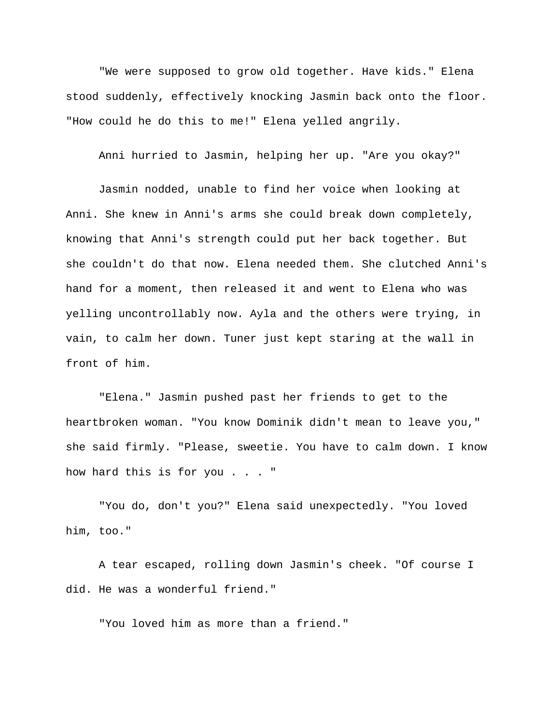"We were supposed to grow old together. Have kids." Elena stood suddenly, effectively knocking Jasmin back onto the floor. "How could he do this to me!" Elena yelled angrily.

Anni hurried to Jasmin, helping her up. "Are you okay?"

Jasmin nodded, unable to find her voice when looking at Anni. She knew in Anni's arms she could break down completely, knowing that Anni's strength could put her back together. But she couldn't do that now. Elena needed them. She clutched Anni's hand for a moment, then released it and went to Elena who was yelling uncontrollably now. Ayla and the others were trying, in vain, to calm her down. Tuner just kept staring at the wall in front of him.

"Elena." Jasmin pushed past her friends to get to the heartbroken woman. "You know Dominik didn't mean to leave you," she said firmly. "Please, sweetie. You have to calm down. I know how hard this is for you . . . "

"You do, don't you?" Elena said unexpectedly. "You loved him, too."

A tear escaped, rolling down Jasmin's cheek. "Of course I did. He was a wonderful friend."

"You loved him as more than a friend."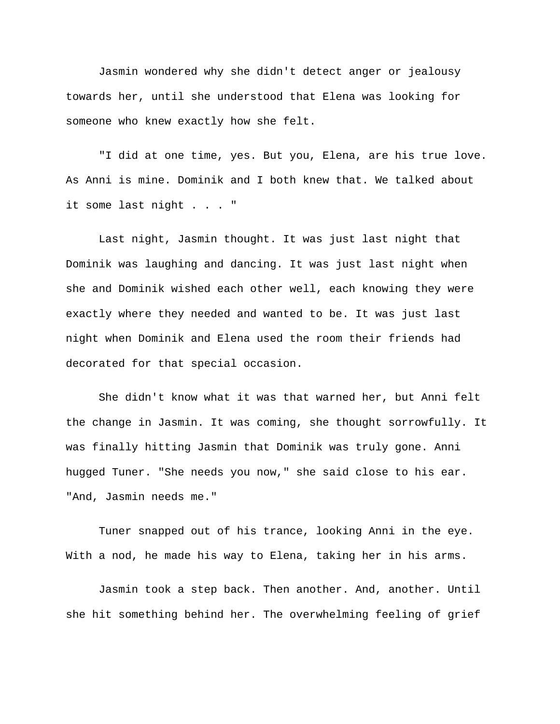Jasmin wondered why she didn't detect anger or jealousy towards her, until she understood that Elena was looking for someone who knew exactly how she felt.

"I did at one time, yes. But you, Elena, are his true love. As Anni is mine. Dominik and I both knew that. We talked about it some last night . . . "

Last night, Jasmin thought. It was just last night that Dominik was laughing and dancing. It was just last night when she and Dominik wished each other well, each knowing they were exactly where they needed and wanted to be. It was just last night when Dominik and Elena used the room their friends had decorated for that special occasion.

She didn't know what it was that warned her, but Anni felt the change in Jasmin. It was coming, she thought sorrowfully. It was finally hitting Jasmin that Dominik was truly gone. Anni hugged Tuner. "She needs you now," she said close to his ear. "And, Jasmin needs me."

Tuner snapped out of his trance, looking Anni in the eye. With a nod, he made his way to Elena, taking her in his arms.

Jasmin took a step back. Then another. And, another. Until she hit something behind her. The overwhelming feeling of grief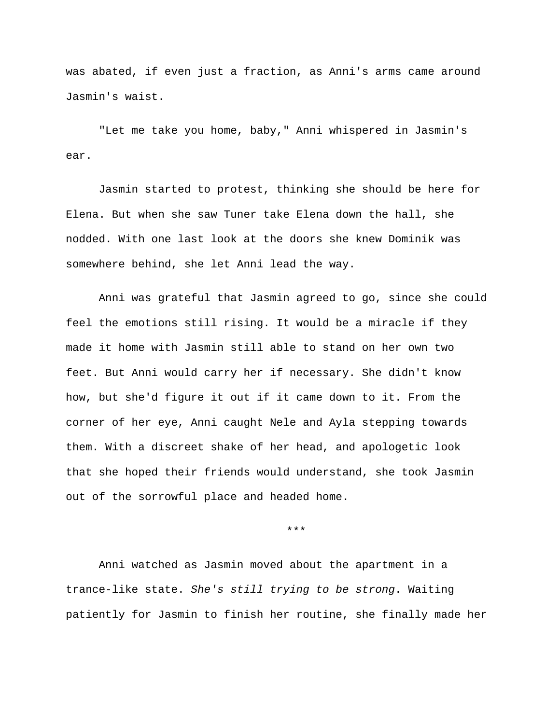was abated, if even just a fraction, as Anni's arms came around Jasmin's waist.

"Let me take you home, baby," Anni whispered in Jasmin's ear.

Jasmin started to protest, thinking she should be here for Elena. But when she saw Tuner take Elena down the hall, she nodded. With one last look at the doors she knew Dominik was somewhere behind, she let Anni lead the way.

Anni was grateful that Jasmin agreed to go, since she could feel the emotions still rising. It would be a miracle if they made it home with Jasmin still able to stand on her own two feet. But Anni would carry her if necessary. She didn't know how, but she'd figure it out if it came down to it. From the corner of her eye, Anni caught Nele and Ayla stepping towards them. With a discreet shake of her head, and apologetic look that she hoped their friends would understand, she took Jasmin out of the sorrowful place and headed home.

\*\*\*

Anni watched as Jasmin moved about the apartment in a trance-like state. *She's still trying to be strong*. Waiting patiently for Jasmin to finish her routine, she finally made her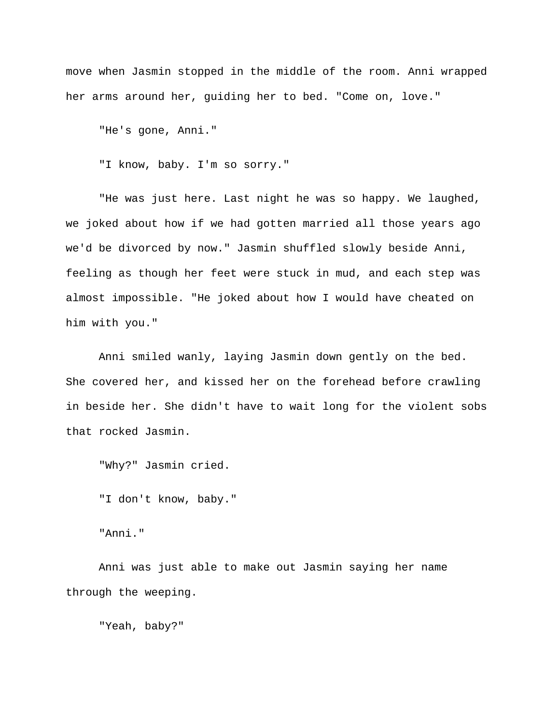move when Jasmin stopped in the middle of the room. Anni wrapped her arms around her, guiding her to bed. "Come on, love."

"He's gone, Anni."

"I know, baby. I'm so sorry."

"He was just here. Last night he was so happy. We laughed, we joked about how if we had gotten married all those years ago we'd be divorced by now." Jasmin shuffled slowly beside Anni, feeling as though her feet were stuck in mud, and each step was almost impossible. "He joked about how I would have cheated on him with you."

Anni smiled wanly, laying Jasmin down gently on the bed. She covered her, and kissed her on the forehead before crawling in beside her. She didn't have to wait long for the violent sobs that rocked Jasmin.

"Why?" Jasmin cried.

"I don't know, baby."

"Anni."

Anni was just able to make out Jasmin saying her name through the weeping.

"Yeah, baby?"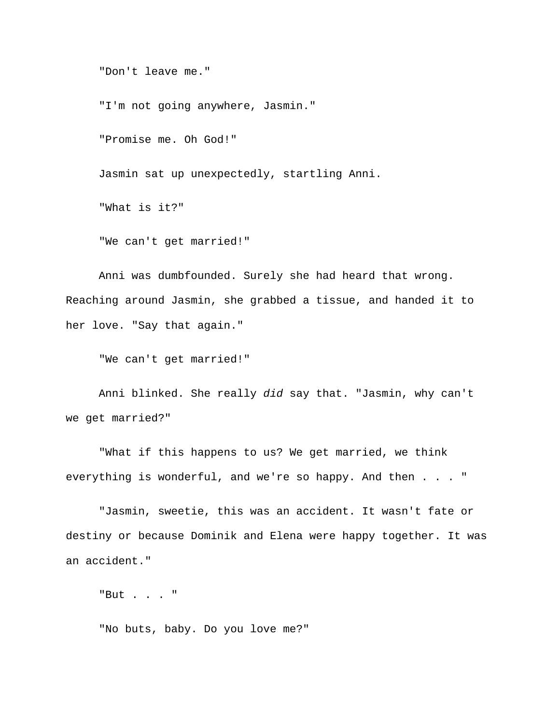"Don't leave me."

"I'm not going anywhere, Jasmin."

"Promise me. Oh God!"

Jasmin sat up unexpectedly, startling Anni.

"What is it?"

"We can't get married!"

Anni was dumbfounded. Surely she had heard that wrong. Reaching around Jasmin, she grabbed a tissue, and handed it to her love. "Say that again."

"We can't get married!"

Anni blinked. She really *did* say that. "Jasmin, why can't we get married?"

"What if this happens to us? We get married, we think everything is wonderful, and we're so happy. And then . . . "

"Jasmin, sweetie, this was an accident. It wasn't fate or destiny or because Dominik and Elena were happy together. It was an accident."

"But . . . "

"No buts, baby. Do you love me?"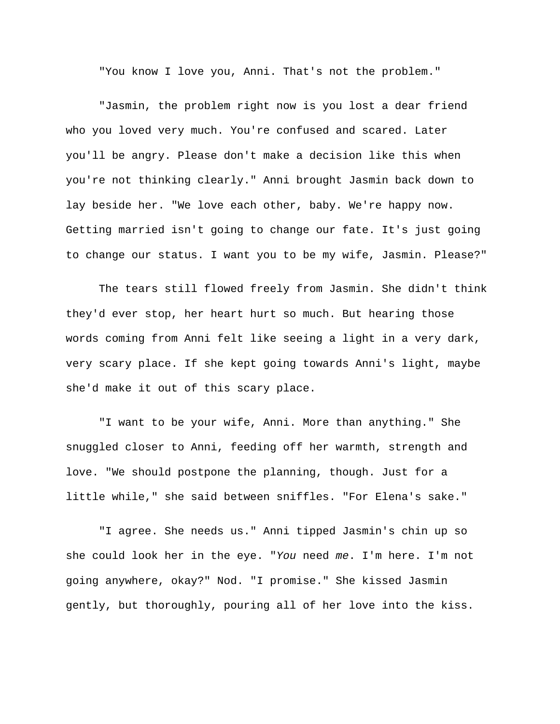"You know I love you, Anni. That's not the problem."

"Jasmin, the problem right now is you lost a dear friend who you loved very much. You're confused and scared. Later you'll be angry. Please don't make a decision like this when you're not thinking clearly." Anni brought Jasmin back down to lay beside her. "We love each other, baby. We're happy now. Getting married isn't going to change our fate. It's just going to change our status. I want you to be my wife, Jasmin. Please?"

The tears still flowed freely from Jasmin. She didn't think they'd ever stop, her heart hurt so much. But hearing those words coming from Anni felt like seeing a light in a very dark, very scary place. If she kept going towards Anni's light, maybe she'd make it out of this scary place.

"I want to be your wife, Anni. More than anything." She snuggled closer to Anni, feeding off her warmth, strength and love. "We should postpone the planning, though. Just for a little while," she said between sniffles. "For Elena's sake."

"I agree. She needs us." Anni tipped Jasmin's chin up so she could look her in the eye. "*You* need *me*. I'm here. I'm not going anywhere, okay?" Nod. "I promise." She kissed Jasmin gently, but thoroughly, pouring all of her love into the kiss.